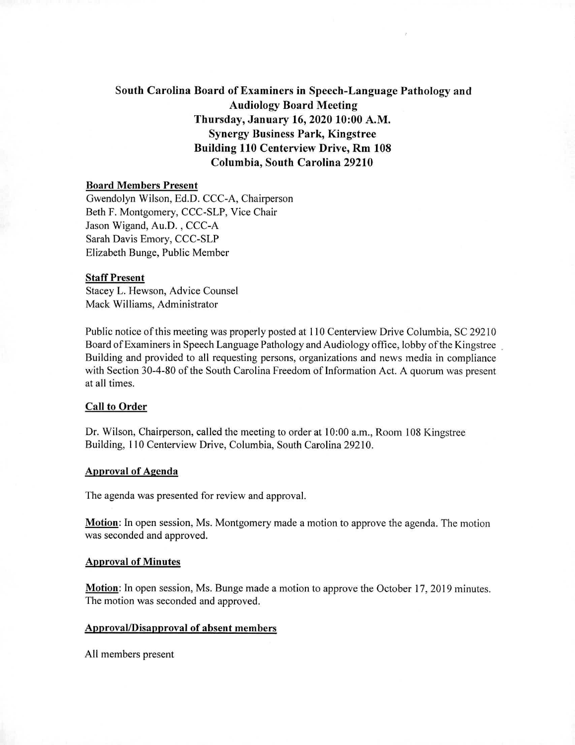# South Carolina Board of Examiners in Speech-Language Pathology and Audiology Board Meeting Thursday, January 16, 2020 10:00 A.M. Synergy Business Park, Kingstree Building 110 Centerview Drive, Rm 108 Columbia, South Carolina 29210

### Board Members Present

Gwendolyn Wilson, Ed.D. CCC-A, Chairperson Beth F. Montgomery, CCC-SLP, Vice Chair Jason Wigand, Au.D. , CCC-A Sarah Davis Emory, CCC-SLP Elizabeth Bunge, Public Member

#### Staff Present

Stacey L. Hewson, Advice Counsel Mack Williams, Administrator

Public notice of this meeting was properly posted at 110 Centerview Drive Columbia, SC 29210 Board of Examiners in Speech Language Pathology and Audiology office, lobby of the Kingstree Building and provided to all requesting persons, organizations and news media in compliance with Section 30-4-80 of the South Carolina Freedom of Information Act. A quorum was present at all times.

#### **Call to Order**

Dr. Wilson, Chairperson, called the meeting to order at 10:00 a.m., Room 108 Kingstree Building, 110 Centerview Drive, Columbia, South Carolina 29210.

### Approval of Agenda

The agenda was presented for review and approval.

Motion: In open session, Ms. Montgomery made a motion to approve the agenda. The motion was seconded and approved.

#### Approval of Minutes

Motion: In open session, Ms. Bunge made a motion to approve the October 17, 2019 minutes. The motion was seconded and approved.

### Approval/Disapproval of absent members

All members present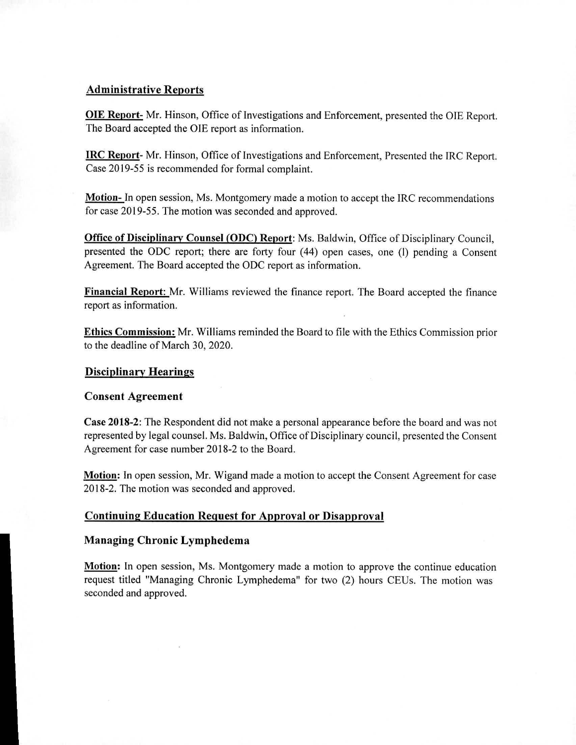## **Administrative Reports**

**OLE Report-** Mr. Hinson, Office of Investigations and Enforcement, presented the OIE Report. The Board accepted the OIE report as information.

**IRC Report-** Mr. Hinson, Office of Investigations and Enforcement, Presented the IRC Report. Case 2019-55 is recommended for formal complaint.

**Motion-** In open session, Ms. Montgomery made a motion to accept the IRC recommendations for case 2019-55. The motion was seconded and approved.

**Office of Disciplinary Counsel (ODC) Report:** Ms. Baldwin, Office of Disciplinary Council, presented the ODC report; there are forty four (44) open cases, one (1) pending a Consent Agreement. The Board accepted the ODC report as information.

**Financial Report:** Mr. Williams reviewed the finance report. The Board accepted the finance report as information.

**Ethics Commission:** Mr. Williams reminded the Board to file with the Ethics Commission prior to the deadline of March 30, 2020.

### **Disciplinary Hearings**

### **Consent Agreement**

**Case 2018-2:** The Respondent did not make a personal appearance before the board and was not represented by legal counsel. Ms. Baldwin, Office of Disciplinary council, presented the Consent Agreement for case number 2018-2 to the Board.

**Motion:** In open session, Mr. Wigand made a motion to accept the Consent Agreement for case 2018-2. The motion was seconded and approved.

### **Continuing Education Request for Approval** or Disapproval

### **Managing Chronic Lymphedema**

**Motion:** In open session, Ms. Montgomery made a motion to approve the continue education request titled "Managing Chronic Lymphedema" for two (2) hours CEUs. The motion was seconded and approved.